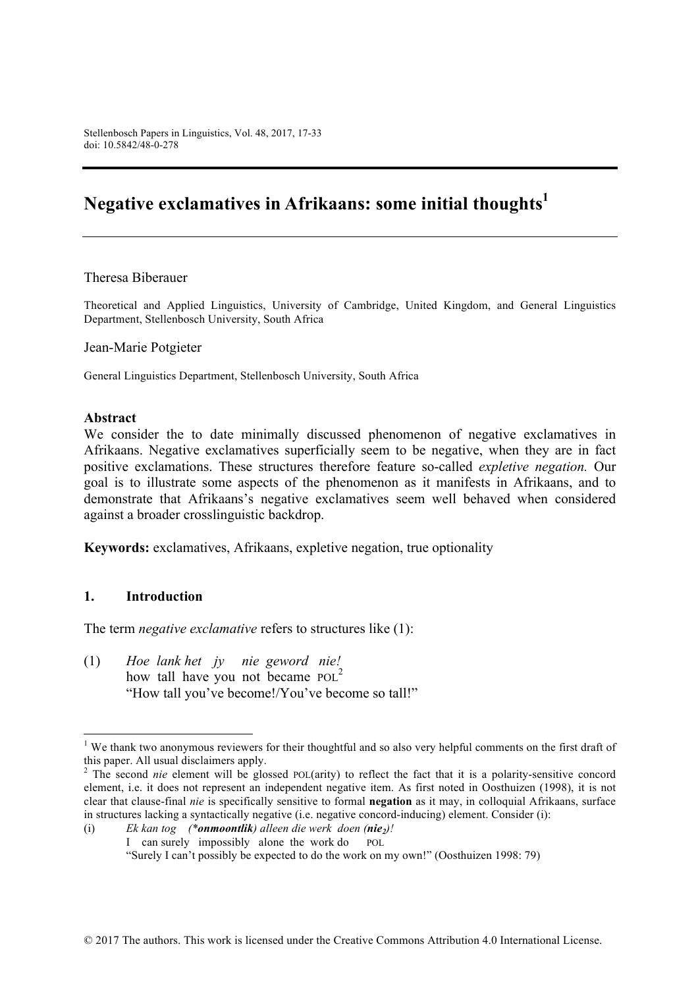# Negative exclamatives in Afrikaans: some initial thoughts<sup>1</sup>

### Theresa Biberauer

Theoretical and Applied Linguistics, University of Cambridge, United Kingdom, and General Linguistics Department, Stellenbosch University, South Africa

Jean-Marie Potgieter

General Linguistics Department, Stellenbosch University, South Africa

### **Abstract**

We consider the to date minimally discussed phenomenon of negative exclamatives in Afrikaans. Negative exclamatives superficially seem to be negative, when they are in fact positive exclamations. These structures therefore feature so-called *expletive negation.* Our goal is to illustrate some aspects of the phenomenon as it manifests in Afrikaans, and to demonstrate that Afrikaans's negative exclamatives seem well behaved when considered against a broader crosslinguistic backdrop.

**Keywords:** exclamatives, Afrikaans, expletive negation, true optionality

### **1. Introduction**

The term *negative exclamative* refers to structures like (1):

(1) *Hoe lank het jy nie geword nie!* how tall have you not became POL<sup>2</sup> "How tall you've become!/You've become so tall!"

<sup>&</sup>lt;sup>1</sup> We thank two anonymous reviewers for their thoughtful and so also very helpful comments on the first draft of this paper. All usual disclaimers apply.

<sup>&</sup>lt;sup>2</sup> The second *nie* element will be glossed POL(arity) to reflect the fact that it is a polarity-sensitive concord element, i.e. it does not represent an independent negative item. As first noted in Oosthuizen (1998), it is not clear that clause-final *nie* is specifically sensitive to formal **negation** as it may, in colloquial Afrikaans, surface in structures lacking a syntactically negative (i.e. negative concord-inducing) element. Consider (i):

<sup>(</sup>i) *Ek kan tog (\*onmoontlik) alleen die werk doen (nie2)!* I can surely impossibly alone the work do POL "Surely I can't possibly be expected to do the work on my own!" (Oosthuizen 1998: 79)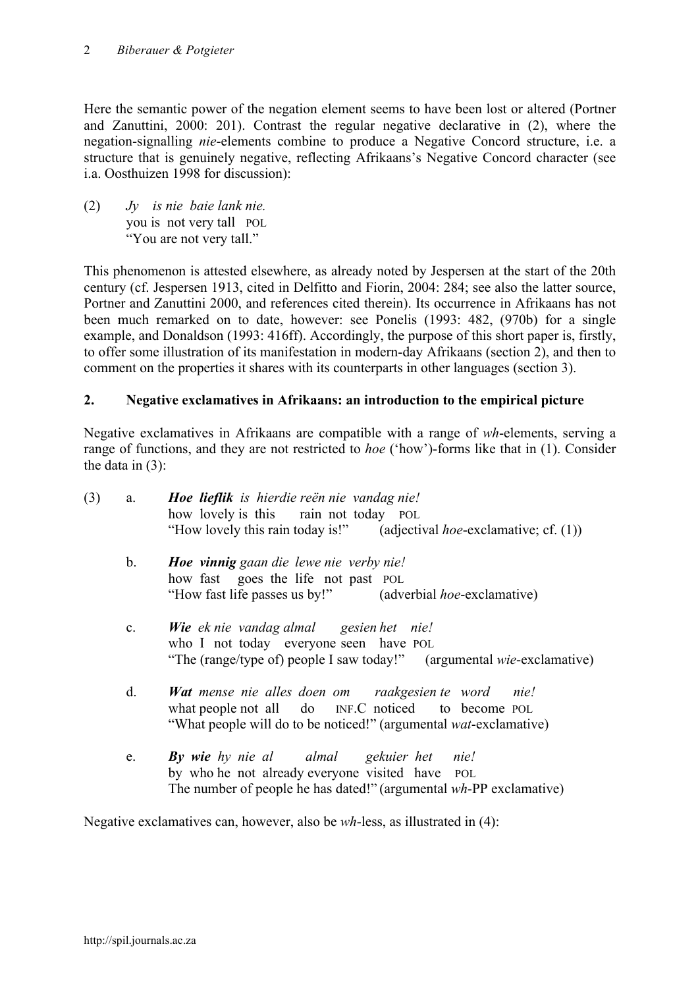#### *Biberauer & Potgieter* 2

Here the semantic power of the negation element seems to have been lost or altered (Portner and Zanuttini, 2000: 201). Contrast the regular negative declarative in (2), where the negation-signalling *nie*-elements combine to produce a Negative Concord structure, i.e. a structure that is genuinely negative, reflecting Afrikaans's Negative Concord character (see i.a. Oosthuizen 1998 for discussion):

(2) *Jy is nie baie lank nie.* you is not very tall POL "You are not very tall."

This phenomenon is attested elsewhere, as already noted by Jespersen at the start of the 20th century (cf. Jespersen 1913, cited in Delfitto and Fiorin, 2004: 284; see also the latter source, Portner and Zanuttini 2000, and references cited therein). Its occurrence in Afrikaans has not been much remarked on to date, however: see Ponelis (1993: 482, (970b) for a single example, and Donaldson (1993: 416ff). Accordingly, the purpose of this short paper is, firstly, to offer some illustration of its manifestation in modern-day Afrikaans (section 2), and then to comment on the properties it shares with its counterparts in other languages (section 3).

# **2. Negative exclamatives in Afrikaans: an introduction to the empirical picture**

Negative exclamatives in Afrikaans are compatible with a range of *wh*-elements, serving a range of functions, and they are not restricted to *hoe* ('how')-forms like that in (1). Consider the data in (3):

| (3) | a.             | Hoe lieflik is hierdie reën nie vandag nie!<br>how lovely is this rain not today POL<br>"How lovely this rain today is!" (adjectival <i>hoe</i> -exclamative; cf. $(1)$ )              |
|-----|----------------|----------------------------------------------------------------------------------------------------------------------------------------------------------------------------------------|
|     | b.             | <b>Hoe vinnig</b> gaan die lewe nie verby nie!<br>how fast goes the life not past POL<br>"How fast life passes us by!" (adverbial <i>hoe-exclamative)</i>                              |
|     | $\mathbf{c}$ . | Wie ek nie vandag almal gesien het nie!<br>who I not today everyone seen have POL<br>"The (range/type of) people I saw today!" (argumental wie-exclamative)                            |
|     | d.             | Wat mense nie alles doen om raakgesien te word nie!<br>what people not all do INF.C noticed to become POL<br>"What people will do to be noticed!" (argumental <i>wat</i> -exclamative) |
|     | e.             | <b>By wie</b> hy nie al almal gekuier het nie!<br>by who he not already everyone visited have POL<br>The number of people he has dated!" (argumental wh-PP exclamative)                |

Negative exclamatives can, however, also be *wh*-less, as illustrated in (4):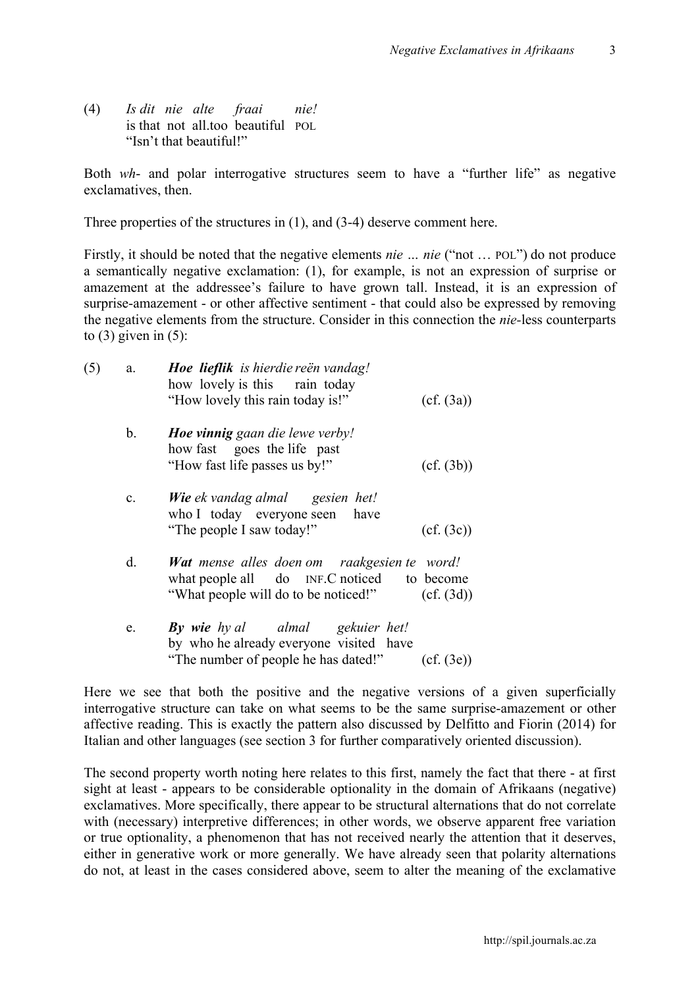3

(4) *Is dit nie alte fraai nie!* is that not all too beautiful POL "Isn't that beautiful!"

Both *wh*- and polar interrogative structures seem to have a "further life" as negative exclamatives, then.

Three properties of the structures in (1), and (3-4) deserve comment here.

Firstly, it should be noted that the negative elements *nie … nie* ("not … POL") do not produce a semantically negative exclamation: (1), for example, is not an expression of surprise or amazement at the addressee's failure to have grown tall. Instead, it is an expression of surprise-amazement - or other affective sentiment - that could also be expressed by removing the negative elements from the structure. Consider in this connection the *nie-*less counterparts to  $(3)$  given in  $(5)$ :

| (5) | a.             | Hoe lieflik is hierdie reën vandag!                                                                                                      |            |
|-----|----------------|------------------------------------------------------------------------------------------------------------------------------------------|------------|
|     |                | how lovely is this rain today                                                                                                            |            |
|     |                | "How lovely this rain today is!"                                                                                                         | (cf. (3a)) |
|     | b.             | <b>Hoe vinnig</b> gaan die lewe verby!                                                                                                   |            |
|     |                | how fast goes the life past                                                                                                              |            |
|     |                | "How fast life passes us by!"                                                                                                            | (cf. (3b)) |
|     | $\mathbf{c}$ . | <b>Wie</b> ek vandag almal gesien het!<br>who I today everyone seen have                                                                 |            |
|     |                | "The people I saw today!"                                                                                                                | (cf. (3c)) |
|     | d.             | <b>Wat</b> mense alles doen om raakgesien te word!<br>what people all do INF.C noticed to become<br>"What people will do to be noticed!" | (cf. (3d)) |
|     |                |                                                                                                                                          |            |
|     | e.             | <b>By wie</b> hy al almal gekuier het!                                                                                                   |            |
|     |                | by who he already everyone visited have                                                                                                  |            |
|     |                | "The number of people he has dated!"                                                                                                     | (cf. (3e)) |

Here we see that both the positive and the negative versions of a given superficially interrogative structure can take on what seems to be the same surprise-amazement or other affective reading. This is exactly the pattern also discussed by Delfitto and Fiorin (2014) for Italian and other languages (see section 3 for further comparatively oriented discussion).

The second property worth noting here relates to this first, namely the fact that there - at first sight at least - appears to be considerable optionality in the domain of Afrikaans (negative) exclamatives. More specifically, there appear to be structural alternations that do not correlate with (necessary) interpretive differences; in other words, we observe apparent free variation or true optionality, a phenomenon that has not received nearly the attention that it deserves, either in generative work or more generally. We have already seen that polarity alternations do not, at least in the cases considered above, seem to alter the meaning of the exclamative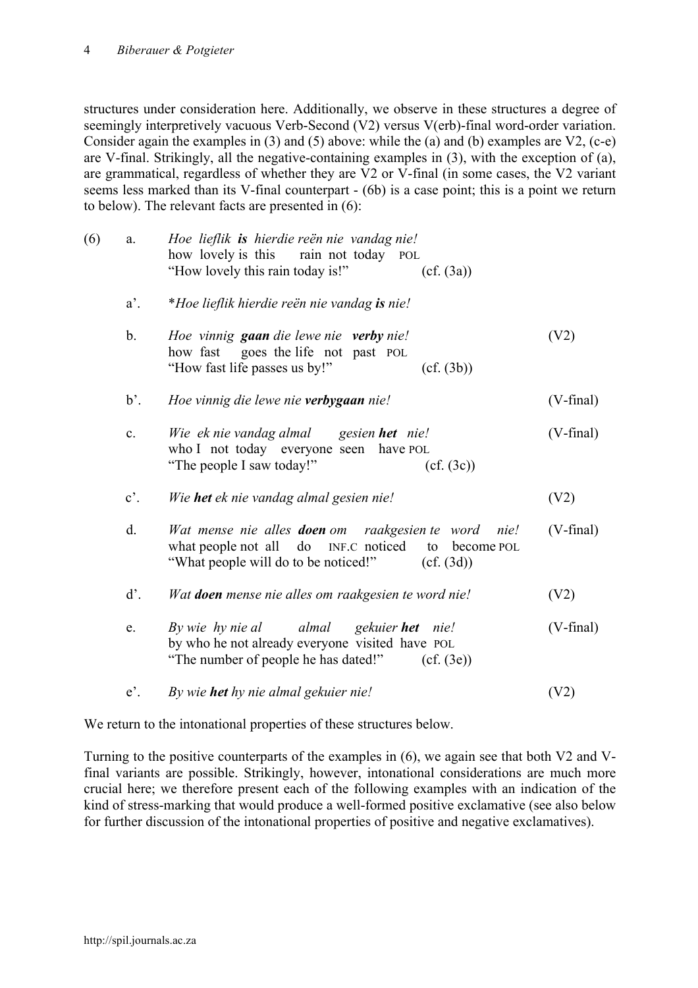#### *Biberauer & Potgieter* 4

structures under consideration here. Additionally, we observe in these structures a degree of seemingly interpretively vacuous Verb-Second (V2) versus V(erb)-final word-order variation. Consider again the examples in (3) and (5) above: while the (a) and (b) examples are V2, (c-e) are V-final. Strikingly, all the negative-containing examples in (3), with the exception of (a), are grammatical, regardless of whether they are V2 or V-final (in some cases, the V2 variant seems less marked than its V-final counterpart - (6b) is a case point; this is a point we return to below). The relevant facts are presented in (6):

| (6) | a.             | Hoe lieflik is hierdie reën nie vandag nie!<br>how lovely is this rain not today POL<br>"How lovely this rain today is!"<br>(cf. (3a))                                          |                    |
|-----|----------------|---------------------------------------------------------------------------------------------------------------------------------------------------------------------------------|--------------------|
|     | $a'$ .         | *Hoe lieflik hierdie reën nie vandag is nie!                                                                                                                                    |                    |
|     | b.             | Hoe vinnig gaan die lewe nie verby nie!<br>how fast goes the life not past POL<br>"How fast life passes us by!"<br>(cf. (3b))                                                   | (V2)               |
|     | $b^{\prime}$ . | Hoe vinnig die lewe nie verbygaan nie!                                                                                                                                          | $(V\text{-final})$ |
|     | $c$ .          | Wie ek nie vandag almal gesien het nie!<br>who I not today everyone seen have POL<br>"The people I saw today!"<br>(cf. (3c))                                                    | $(V\text{-final})$ |
|     | $c^{\prime}$ . | Wie het ek nie vandag almal gesien nie!                                                                                                                                         | (V2)               |
|     | d.             | Wat mense nie alles <b>doen</b> om raakgesien te word<br>nie!<br>what people not all do INF.C noticed<br>to<br>become POL<br>"What people will do to be noticed!"<br>(cf. (3d)) | $(V\text{-final})$ |
|     | d'.            | Wat doen mense nie alles om raakgesien te word nie!                                                                                                                             | (V2)               |
|     | e.             | By wie hy nie al almal gekuier het nie!<br>by who he not already everyone visited have POL<br>"The number of people he has dated!"<br>(cf. (3e))                                | $(V\text{-final})$ |
|     | $e^{\prime}$ . | By wie het hy nie almal gekuier nie!                                                                                                                                            | (V2)               |

We return to the intonational properties of these structures below.

Turning to the positive counterparts of the examples in (6), we again see that both V2 and Vfinal variants are possible. Strikingly, however, intonational considerations are much more crucial here; we therefore present each of the following examples with an indication of the kind of stress-marking that would produce a well-formed positive exclamative (see also below for further discussion of the intonational properties of positive and negative exclamatives).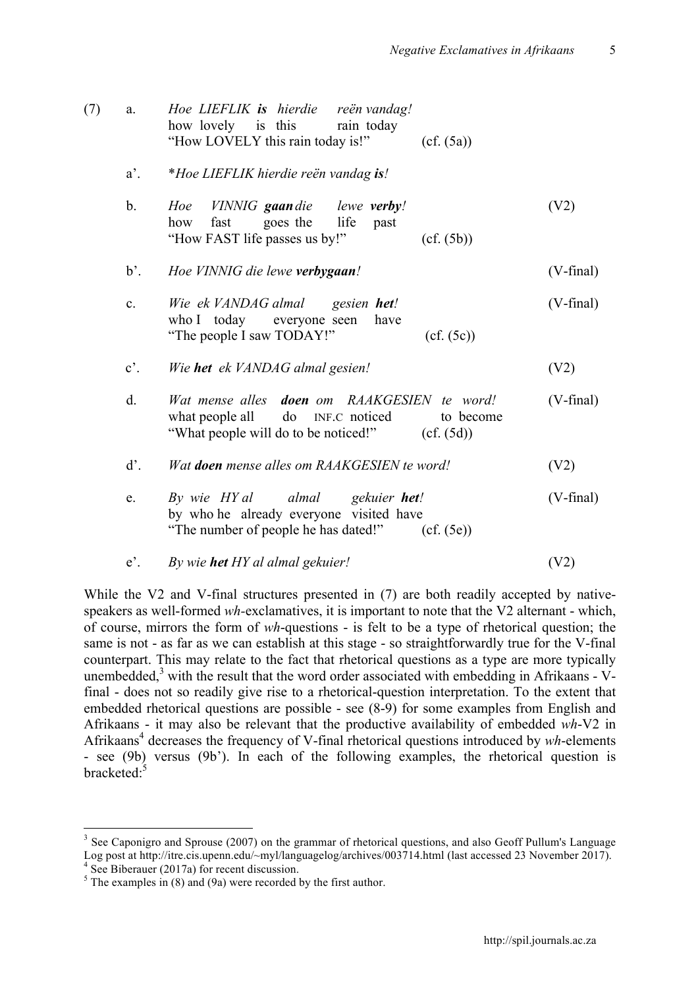5

| (7) | a.             | Hoe LIEFLIK is hierdie reën vandag!<br>how lovely is this<br>rain today<br>"How LOVELY this rain today is!"<br>(cf. (5a))                              |                    |
|-----|----------------|--------------------------------------------------------------------------------------------------------------------------------------------------------|--------------------|
|     | $a'$ .         | *Hoe LIEFLIK hierdie reën vandag is!                                                                                                                   |                    |
|     | $\mathbf{b}$ . | Hoe VINNIG gaandie lewe verby!<br>goes the<br>life<br>how<br>fast<br>past<br>"How FAST life passes us by!"<br>(cf. (5b))                               | (V2)               |
|     | $b^{\prime}$ . | Hoe VINNIG die lewe verbygaan!                                                                                                                         | $(V\text{-final})$ |
|     | c.             | Wie ek VANDAG almal gesien het!<br>who I today everyone seen have<br>"The people I saw TODAY!"<br>(cf. (5c))                                           | $(V\text{-final})$ |
|     | $c^{\prime}$ . | Wie het ek VANDAG almal gesien!                                                                                                                        | (V2)               |
|     | $d$ .          | Wat mense alles <b>doen</b> om RAAKGESIEN te word!<br>what people all do INF.C noticed<br>to become<br>"What people will do to be noticed!" (cf. (5d)) | $(V\text{-final})$ |
|     | d'.            | Wat <b>doen</b> mense alles om RAAKGESIEN te word!                                                                                                     | (V2)               |
|     | e.             | By wie HY al almal gekuier het!<br>by who he already everyone visited have<br>"The number of people he has dated!" $(ctf. (5e))$                       | $(V\text{-final})$ |
|     | $e^{\prime}$ . | By wie <b>het</b> HY al almal gekuier!                                                                                                                 | (V2)               |

While the V2 and V-final structures presented in (7) are both readily accepted by nativespeakers as well-formed *wh-*exclamatives, it is important to note that the V2 alternant - which, of course, mirrors the form of *wh*-questions - is felt to be a type of rhetorical question; the same is not - as far as we can establish at this stage - so straightforwardly true for the V-final counterpart. This may relate to the fact that rhetorical questions as a type are more typically unembedded,<sup>3</sup> with the result that the word order associated with embedding in Afrikaans - Vfinal - does not so readily give rise to a rhetorical-question interpretation. To the extent that embedded rhetorical questions are possible - see (8-9) for some examples from English and Afrikaans - it may also be relevant that the productive availability of embedded *wh*-V2 in Afrikaans<sup>4</sup> decreases the frequency of V-final rhetorical questions introduced by *wh*-elements - see (9b) versus (9b'). In each of the following examples, the rhetorical question is bracketed:<sup>5</sup>

<sup>&</sup>lt;sup>3</sup> See Caponigro and Sprouse (2007) on the grammar of rhetorical questions, and also Geoff Pullum's Language Log post at http://itre.cis.upenn.edu/~myl/languagelog/archives/003714.html (last accessed 23 November 2017).<br><sup>4</sup> See Biberauer (2017a) for recent discussion.

 $5$  The examples in (8) and (9a) were recorded by the first author.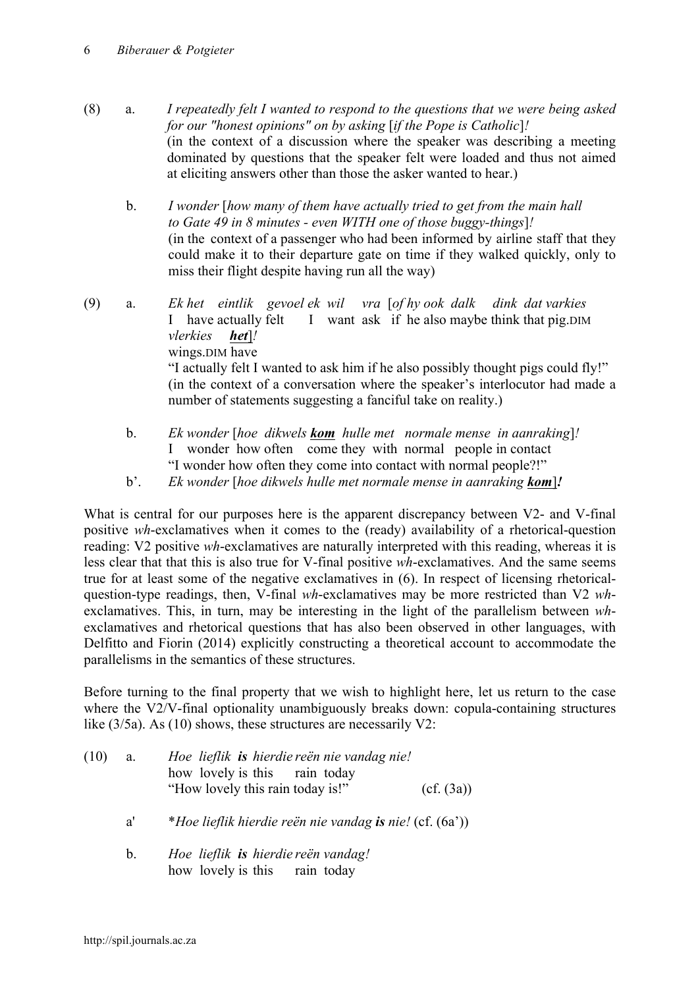- (8) a. *I repeatedly felt I wanted to respond to the questions that we were being asked for our "honest opinions" on by asking* [*if the Pope is Catholic*]*!* (in the context of a discussion where the speaker was describing a meeting dominated by questions that the speaker felt were loaded and thus not aimed at eliciting answers other than those the asker wanted to hear.)
	- b. *I wonder* [*how many of them have actually tried to get from the main hall to Gate 49 in 8 minutes - even WITH one of those buggy-things*]*!* (in the context of a passenger who had been informed by airline staff that they could make it to their departure gate on time if they walked quickly, only to miss their flight despite having run all the way)
- (9) a. *Ek het eintlik gevoel ek wil vra* [*of hy ook dalk dink dat varkies* I have actually felt I want ask if he also maybe think that pig.DIM *vlerkies het*]*!* wings.DIM have "I actually felt I wanted to ask him if he also possibly thought pigs could fly!" (in the context of a conversation where the speaker's interlocutor had made a number of statements suggesting a fanciful take on reality.)
	- b. *Ek wonder* [*hoe dikwels kom hulle met normale mense in aanraking*]*!* I wonder how often come they with normal people in contact "I wonder how often they come into contact with normal people?!"
	- b'. *Ek wonder* [*hoe dikwels hulle met normale mense in aanraking kom*]*!*

What is central for our purposes here is the apparent discrepancy between V2- and V-final positive *wh*-exclamatives when it comes to the (ready) availability of a rhetorical-question reading: V2 positive *wh*-exclamatives are naturally interpreted with this reading, whereas it is less clear that that this is also true for V-final positive *wh*-exclamatives. And the same seems true for at least some of the negative exclamatives in (6). In respect of licensing rhetoricalquestion-type readings, then, V-final *wh*-exclamatives may be more restricted than V2 *wh*exclamatives. This, in turn, may be interesting in the light of the parallelism between *wh*exclamatives and rhetorical questions that has also been observed in other languages, with Delfitto and Fiorin (2014) explicitly constructing a theoretical account to accommodate the parallelisms in the semantics of these structures.

Before turning to the final property that we wish to highlight here, let us return to the case where the V2/V-final optionality unambiguously breaks down: copula-containing structures like (3/5a). As (10) shows, these structures are necessarily V2:

| (10) | а.           | Hoe lieflik is hierdie reën nie vandag nie!<br>how lovely is this rain today |            |  |
|------|--------------|------------------------------------------------------------------------------|------------|--|
|      |              | "How lovely this rain today is!"                                             | (cf. (3a)) |  |
|      | $a^{\prime}$ | <i>*Hoe lieflik hierdie reën nie vandag is nie!</i> (cf. (6a'))              |            |  |
|      | $b_{-}$      | Hoe lieflik is hierdie reën vandag!<br>how lovely is this rain today         |            |  |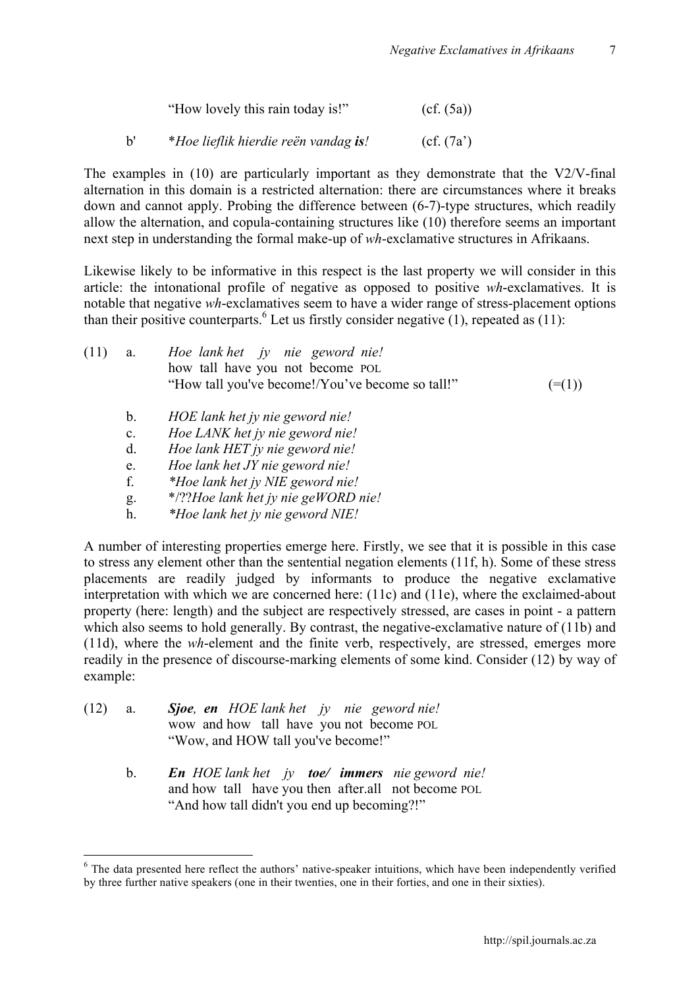| "How lovely this rain today is!" | (cf. (5a)) |
|----------------------------------|------------|
|----------------------------------|------------|

b' \**Hoe lieflik hierdie reën vandag is!* (cf. (7a')

The examples in  $(10)$  are particularly important as they demonstrate that the V2/V-final alternation in this domain is a restricted alternation: there are circumstances where it breaks down and cannot apply. Probing the difference between (6-7)-type structures, which readily allow the alternation, and copula-containing structures like (10) therefore seems an important next step in understanding the formal make-up of *wh*-exclamative structures in Afrikaans.

Likewise likely to be informative in this respect is the last property we will consider in this article: the intonational profile of negative as opposed to positive *wh*-exclamatives. It is notable that negative *wh*-exclamatives seem to have a wider range of stress-placement options than their positive counterparts.<sup>6</sup> Let us firstly consider negative  $(1)$ , repeated as  $(11)$ :

| (11) | $a_{\cdot}$ | Hoe lank het jy nie geword nie!<br>how tall have you not become POL<br>"How tall you've become!/You've become so tall!" | $(=(1))$ |
|------|-------------|-------------------------------------------------------------------------------------------------------------------------|----------|
|      | $b_{\rm}$   | HOE lank het jy nie geword nie!                                                                                         |          |
|      | $c_{\cdot}$ | Hoe LANK het jy nie geword nie!                                                                                         |          |
|      |             | $H_{\alpha\alpha}$ lank $HET$ is nig counted with                                                                       |          |

- d. *Hoe lank HET jy nie geword nie!*
- e. *Hoe lank het JY nie geword nie!*
- f. *\*Hoe lank het jy NIE geword nie!*
- g. \*/??*Hoe lank het jy nie geWORD nie!*
- h. *\*Hoe lank het jy nie geword NIE!*

A number of interesting properties emerge here. Firstly, we see that it is possible in this case to stress any element other than the sentential negation elements (11f, h). Some of these stress placements are readily judged by informants to produce the negative exclamative interpretation with which we are concerned here: (11c) and (11e), where the exclaimed-about property (here: length) and the subject are respectively stressed, are cases in point - a pattern which also seems to hold generally. By contrast, the negative-exclamative nature of (11b) and (11d), where the *wh*-element and the finite verb, respectively, are stressed, emerges more readily in the presence of discourse-marking elements of some kind. Consider (12) by way of example:

- (12) a. *Sjoe, en HOE lank het jy nie geword nie!* wow and how tall have you not become POL "Wow, and HOW tall you've become!"
	- b. *En HOE lank het jy toe/ immers nie geword nie!* and how tall have you then after.all not become POL "And how tall didn't you end up becoming?!"

 $6$  The data presented here reflect the authors' native-speaker intuitions, which have been independently verified by three further native speakers (one in their twenties, one in their forties, and one in their sixties).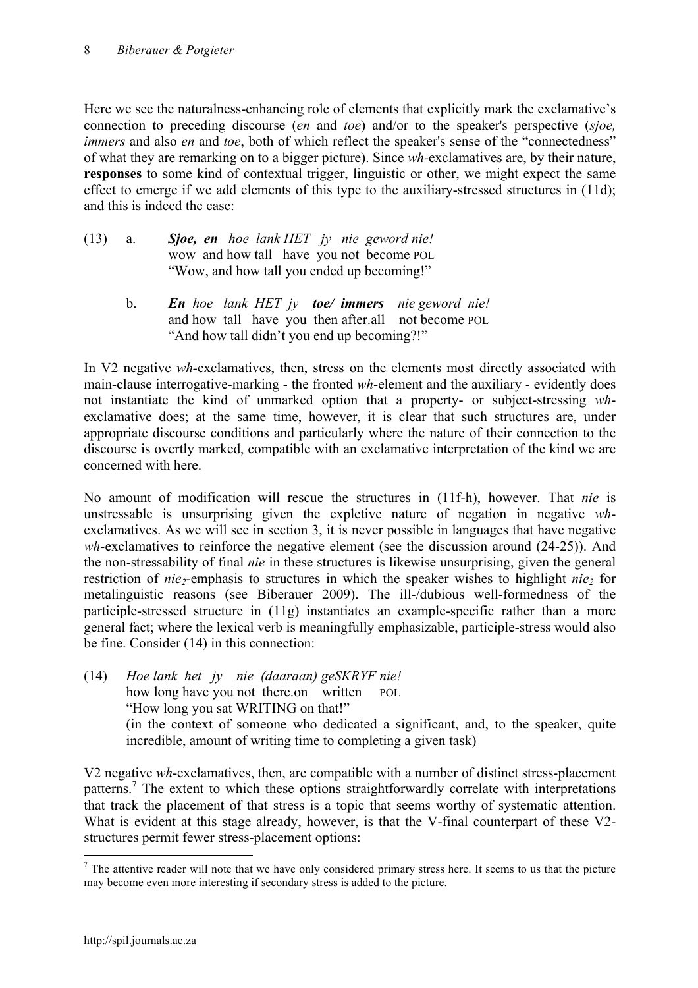Here we see the naturalness-enhancing role of elements that explicitly mark the exclamative's connection to preceding discourse (*en* and *toe*) and/or to the speaker's perspective (*sjoe, immers* and also *en* and *toe*, both of which reflect the speaker's sense of the "connectedness" of what they are remarking on to a bigger picture). Since *wh-*exclamatives are, by their nature, **responses** to some kind of contextual trigger, linguistic or other, we might expect the same effect to emerge if we add elements of this type to the auxiliary-stressed structures in  $(11d)$ ; and this is indeed the case:

| $(13)$ a. | Sjoe, en hoe lank HET jy nie geword nie!   |
|-----------|--------------------------------------------|
|           | wow and how tall have you not become POL   |
|           | "Wow, and how tall you ended up becoming!" |

b. *En hoe lank HET jy toe/ immers nie geword nie!* and how tall have you then after.all not become POL "And how tall didn't you end up becoming?!"

In V2 negative *wh-*exclamatives, then, stress on the elements most directly associated with main-clause interrogative-marking - the fronted *wh*-element and the auxiliary - evidently does not instantiate the kind of unmarked option that a property- or subject-stressing *wh*exclamative does; at the same time, however, it is clear that such structures are, under appropriate discourse conditions and particularly where the nature of their connection to the discourse is overtly marked, compatible with an exclamative interpretation of the kind we are concerned with here.

No amount of modification will rescue the structures in (11f-h), however. That *nie* is unstressable is unsurprising given the expletive nature of negation in negative *wh*exclamatives. As we will see in section 3, it is never possible in languages that have negative *wh-*exclamatives to reinforce the negative element (see the discussion around (24-25)). And the non-stressability of final *nie* in these structures is likewise unsurprising, given the general restriction of *nie*<sub>2</sub>-emphasis to structures in which the speaker wishes to highlight *nie*<sub>2</sub> for metalinguistic reasons (see Biberauer 2009). The ill-/dubious well-formedness of the participle-stressed structure in (11g) instantiates an example-specific rather than a more general fact; where the lexical verb is meaningfully emphasizable, participle-stress would also be fine. Consider (14) in this connection:

(14) *Hoe lank het jy nie (daaraan) geSKRYF nie!* how long have you not there.on written POL "How long you sat WRITING on that!" (in the context of someone who dedicated a significant, and, to the speaker, quite incredible, amount of writing time to completing a given task)

V2 negative *wh*-exclamatives, then, are compatible with a number of distinct stress-placement patterns.<sup>7</sup> The extent to which these options straightforwardly correlate with interpretations that track the placement of that stress is a topic that seems worthy of systematic attention. What is evident at this stage already, however, is that the V-final counterpart of these V2 structures permit fewer stress-placement options:

 $<sup>7</sup>$  The attentive reader will note that we have only considered primary stress here. It seems to us that the picture</sup> may become even more interesting if secondary stress is added to the picture.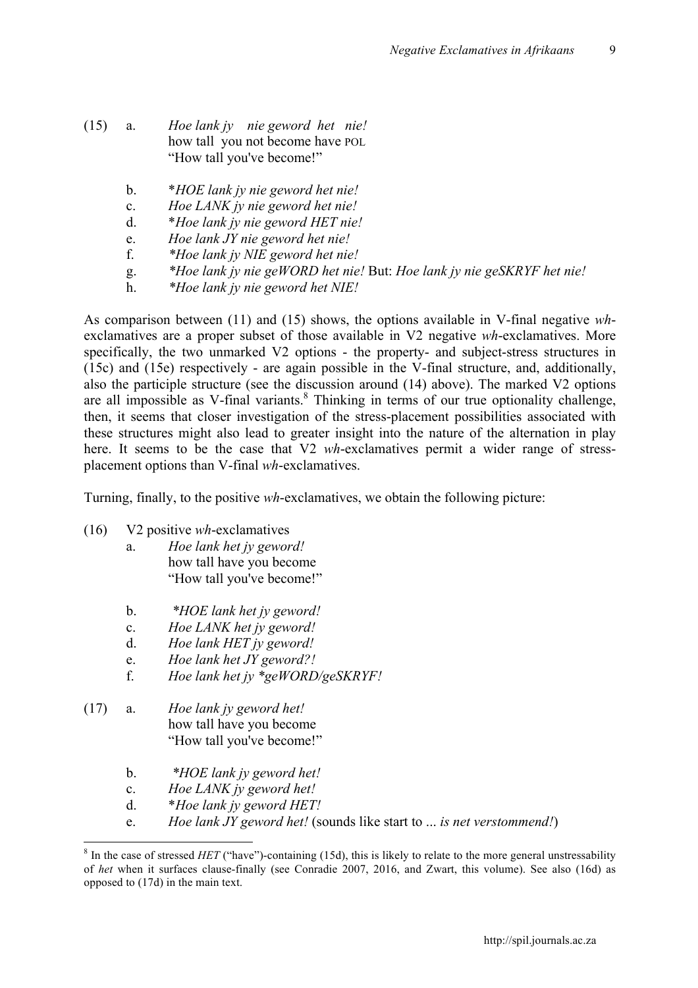9

- (15) a. *Hoe lank jy nie geword het nie!* how tall you not become have POL "How tall you've become!"
	- b. \**HOE lank jy nie geword het nie!*
	- c. *Hoe LANK jy nie geword het nie!*
	- d. \**Hoe lank jy nie geword HET nie!*
	- e. *Hoe lank JY nie geword het nie!*
	- f. *\*Hoe lank jy NIE geword het nie!*
	- g. *\*Hoe lank jy nie geWORD het nie!* But: *Hoe lank jy nie geSKRYF het nie!*
	- h. *\*Hoe lank jy nie geword het NIE!*

As comparison between (11) and (15) shows, the options available in V-final negative *wh*exclamatives are a proper subset of those available in V2 negative *wh*-exclamatives. More specifically, the two unmarked V2 options - the property- and subject-stress structures in (15c) and (15e) respectively - are again possible in the V-final structure, and, additionally, also the participle structure (see the discussion around (14) above). The marked V2 options are all impossible as V-final variants.<sup>8</sup> Thinking in terms of our true optionality challenge, then, it seems that closer investigation of the stress-placement possibilities associated with these structures might also lead to greater insight into the nature of the alternation in play here. It seems to be the case that V2 *wh*-exclamatives permit a wider range of stressplacement options than V-final *wh*-exclamatives.

Turning, finally, to the positive *wh*-exclamatives, we obtain the following picture:

- (16) V2 positive *wh*-exclamatives
	- a. *Hoe lank het jy geword!* how tall have you become "How tall you've become!"
	- b. *\*HOE lank het jy geword!*
	- c. *Hoe LANK het jy geword!*
	- d. *Hoe lank HET jy geword!*
	- e. *Hoe lank het JY geword?!*
	- f. *Hoe lank het jy \*geWORD/geSKRYF!*
- (17) a. *Hoe lank jy geword het!* how tall have you become "How tall you've become!"
	- b. *\*HOE lank jy geword het!*
	- c. *Hoe LANK jy geword het!*
	- d. \**Hoe lank jy geword HET!*
	- e. *Hoe lank JY geword het!* (sounds like start to ... *is net verstommend!*)

<sup>&</sup>lt;sup>8</sup> In the case of stressed *HET* ("have")-containing (15d), this is likely to relate to the more general unstressability of *het* when it surfaces clause-finally (see Conradie 2007, 2016, and Zwart, this volume). See also (16d) as opposed to (17d) in the main text.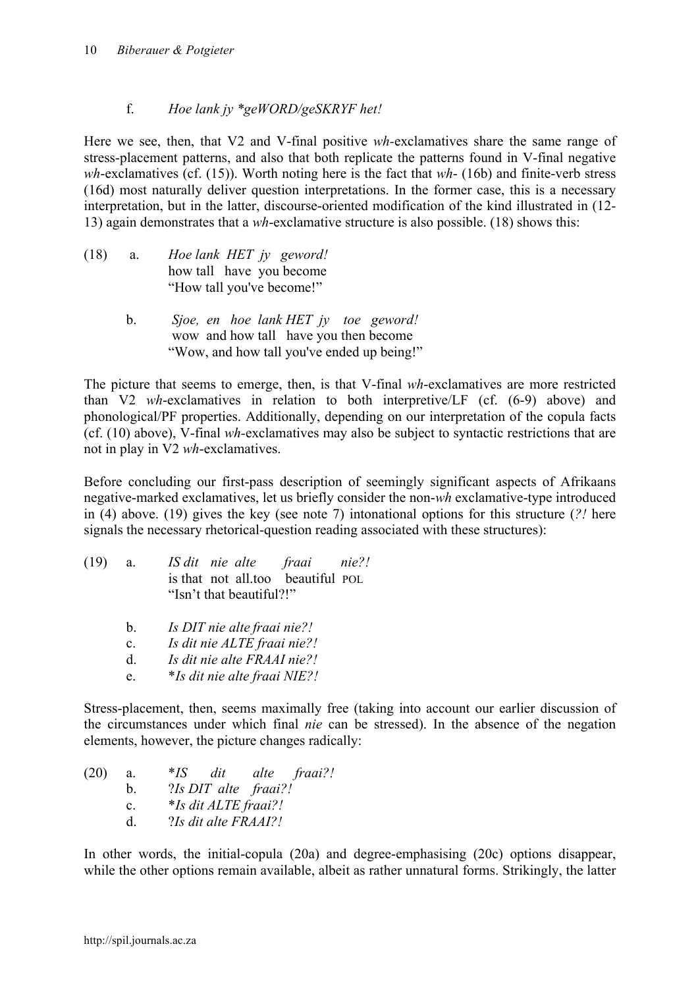# f. *Hoe lank jy \*geWORD/geSKRYF het!*

Here we see, then, that V2 and V-final positive *wh-*exclamatives share the same range of stress-placement patterns, and also that both replicate the patterns found in V-final negative *wh*-exclamatives (cf. (15)). Worth noting here is the fact that *wh*- (16b) and finite-verb stress (16d) most naturally deliver question interpretations. In the former case, this is a necessary interpretation, but in the latter, discourse-oriented modification of the kind illustrated in (12- 13) again demonstrates that a *wh*-exclamative structure is also possible. (18) shows this:

- (18) a. *Hoe lank HET jy geword!* how tall have you become "How tall you've become!"
	- b. *Sjoe, en hoe lank HET jy toe geword!* wow and how tall have you then become "Wow, and how tall you've ended up being!"

The picture that seems to emerge, then, is that V-final *wh*-exclamatives are more restricted than V2 *wh*-exclamatives in relation to both interpretive/LF (cf. (6-9) above) and phonological/PF properties. Additionally, depending on our interpretation of the copula facts (cf. (10) above), V-final *wh-*exclamatives may also be subject to syntactic restrictions that are not in play in V2 *wh*-exclamatives.

Before concluding our first-pass description of seemingly significant aspects of Afrikaans negative-marked exclamatives, let us briefly consider the non-*wh* exclamative-type introduced in (4) above. (19) gives the key (see note 7) intonational options for this structure (*?!* here signals the necessary rhetorical-question reading associated with these structures):

| (19) | a. |  |                          | IS dit nie alte fraai nie?!       |  |
|------|----|--|--------------------------|-----------------------------------|--|
|      |    |  |                          | is that not all too beautiful POL |  |
|      |    |  | "Isn't that beautiful?!" |                                   |  |

- b. *Is DIT nie alte fraai nie?!*
- c. *Is dit nie ALTE fraai nie?!*
- d. *Is dit nie alte FRAAI nie?!*
- e. \**Is dit nie alte fraai NIE?!*

Stress-placement, then, seems maximally free (taking into account our earlier discussion of the circumstances under which final *nie* can be stressed). In the absence of the negation elements, however, the picture changes radically:

| (20) | a.             | $*_{IS}$ | dit alte fraai?!            |  |
|------|----------------|----------|-----------------------------|--|
|      | b.             |          | ?Is DIT alte fraai?!        |  |
|      | $\mathbf{c}$ . |          | <i>*Is dit ALTE fraai?!</i> |  |
|      | d.             |          | ?Is dit alte FRAAI?!        |  |

In other words, the initial-copula (20a) and degree-emphasising (20c) options disappear, while the other options remain available, albeit as rather unnatural forms. Strikingly, the latter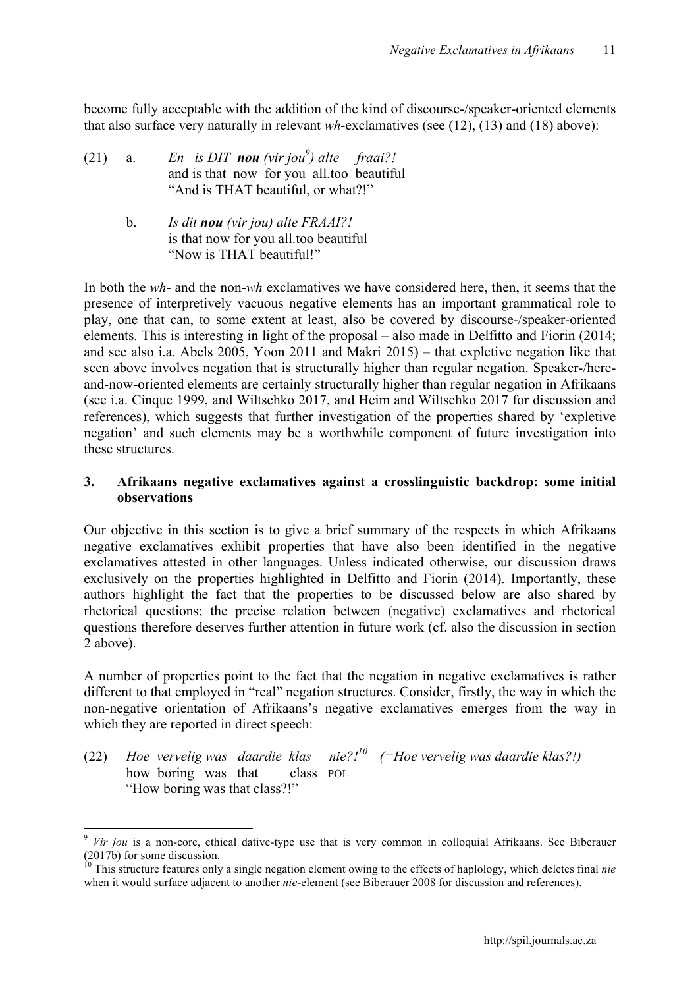become fully acceptable with the addition of the kind of discourse-/speaker-oriented elements that also surface very naturally in relevant *wh*-exclamatives (see (12), (13) and (18) above):

- (21) a. *En is DIT nou (vir jou<sup>9</sup>) alte fraai?!* and is that now for you all.too beautiful "And is THAT beautiful, or what?!"
	- b. *Is dit nou (vir jou) alte FRAAI?!* is that now for you all.too beautiful "Now is THAT beautiful!"

In both the *wh*- and the non-*wh* exclamatives we have considered here, then, it seems that the presence of interpretively vacuous negative elements has an important grammatical role to play, one that can, to some extent at least, also be covered by discourse-/speaker-oriented elements. This is interesting in light of the proposal – also made in Delfitto and Fiorin (2014; and see also i.a. Abels 2005, Yoon 2011 and Makri 2015) – that expletive negation like that seen above involves negation that is structurally higher than regular negation. Speaker-/hereand-now-oriented elements are certainly structurally higher than regular negation in Afrikaans (see i.a. Cinque 1999, and Wiltschko 2017, and Heim and Wiltschko 2017 for discussion and references), which suggests that further investigation of the properties shared by 'expletive negation' and such elements may be a worthwhile component of future investigation into these structures.

## **3. Afrikaans negative exclamatives against a crosslinguistic backdrop: some initial observations**

Our objective in this section is to give a brief summary of the respects in which Afrikaans negative exclamatives exhibit properties that have also been identified in the negative exclamatives attested in other languages. Unless indicated otherwise, our discussion draws exclusively on the properties highlighted in Delfitto and Fiorin (2014). Importantly, these authors highlight the fact that the properties to be discussed below are also shared by rhetorical questions; the precise relation between (negative) exclamatives and rhetorical questions therefore deserves further attention in future work (cf. also the discussion in section 2 above).

A number of properties point to the fact that the negation in negative exclamatives is rather different to that employed in "real" negation structures. Consider, firstly, the way in which the non-negative orientation of Afrikaans's negative exclamatives emerges from the way in which they are reported in direct speech:

(22) *Hoe vervelig was daardie klas nie?! <sup>10</sup> (=Hoe vervelig was daardie klas?!)* how boring was that class POL "How boring was that class?!"

 <sup>9</sup> *Vir jou* is a non-core, ethical dative-type use that is very common in colloquial Afrikaans. See Biberauer (2017b) for some discussion.

<sup>10</sup> This structure features only a single negation element owing to the effects of haplology, which deletes final *nie* when it would surface adjacent to another *nie*-element (see Biberauer 2008 for discussion and references).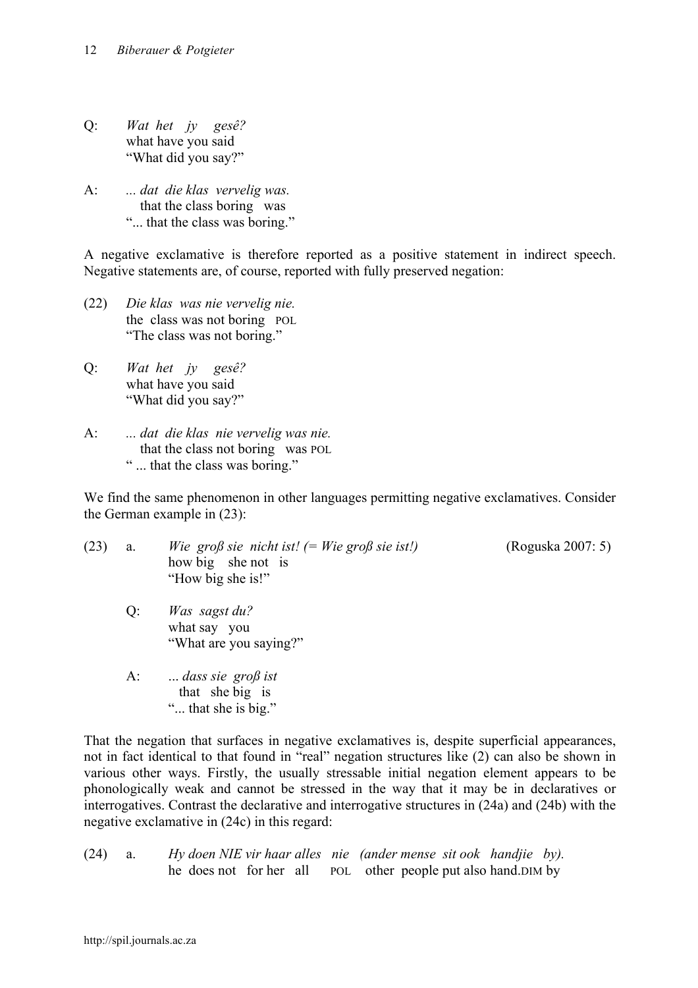- Q: *Wat het jy gesê?* what have you said "What did you say?"
- A: *... dat die klas vervelig was.* that the class boring was "... that the class was boring."

A negative exclamative is therefore reported as a positive statement in indirect speech. Negative statements are, of course, reported with fully preserved negation:

- (22) *Die klas was nie vervelig nie.* the class was not boring POL "The class was not boring."
- Q: *Wat het jy gesê?* what have you said "What did you say?"
- A: *... dat die klas nie vervelig was nie.* that the class not boring was POL " ... that the class was boring."

We find the same phenomenon in other languages permitting negative exclamatives. Consider the German example in (23):

- (23) a. *Wie groß sie nicht ist! (= Wie groß sie ist!)* (Roguska 2007: 5) how big she not is "How big she is!"
	-
	- Q: *Was sagst du?* what say you "What are you saying?"
	- A: ... *dass sie groß ist* that she big is "... that she is big."

That the negation that surfaces in negative exclamatives is, despite superficial appearances, not in fact identical to that found in "real" negation structures like (2) can also be shown in various other ways. Firstly, the usually stressable initial negation element appears to be phonologically weak and cannot be stressed in the way that it may be in declaratives or interrogatives. Contrast the declarative and interrogative structures in (24a) and (24b) with the negative exclamative in (24c) in this regard:

(24) a. *Hy doen NIE vir haar alles nie (ander mense sit ook handjie by).*  he does not for her all POL other people put also hand.DIM by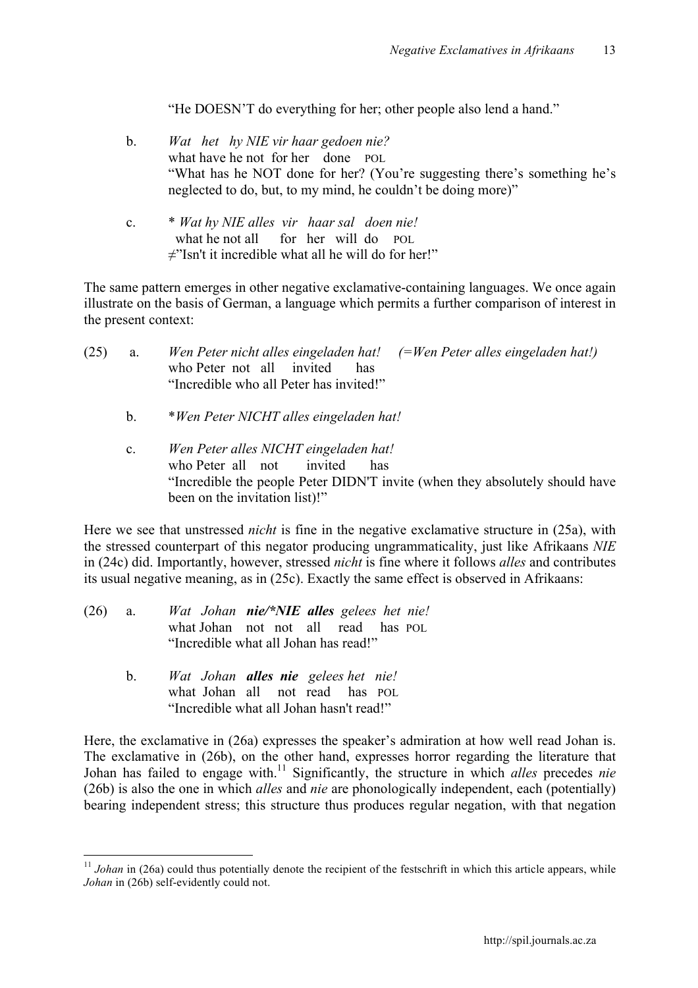"He DOESN'T do everything for her; other people also lend a hand."

- b. *Wat het hy NIE vir haar gedoen nie?* what have he not for her done POL "What has he NOT done for her? (You're suggesting there's something he's neglected to do, but, to my mind, he couldn't be doing more)"
- c. \* *Wat hy NIE alles vir haar sal doen nie!* what he not all for her will do POL ≠"Isn't it incredible what all he will do for her!"

The same pattern emerges in other negative exclamative-containing languages. We once again illustrate on the basis of German, a language which permits a further comparison of interest in the present context:

| (25) | a.             | Wen Peter nicht alles eingeladen hat! $(=$ Wen Peter alles eingeladen hat!)<br>who Peter not all invited<br>has<br>"Incredible who all Peter has invited!"                                                                                                                                                               |
|------|----------------|--------------------------------------------------------------------------------------------------------------------------------------------------------------------------------------------------------------------------------------------------------------------------------------------------------------------------|
|      | $b_{\cdot}$    | *Wen Peter NICHT alles eingeladen hat!                                                                                                                                                                                                                                                                                   |
|      | $\mathbf{c}$ . | Wen Peter alles NICHT eingeladen hat!<br>who Peter all not<br>invited<br>has<br>"Incredible the people Peter DIDN'T invite (when they absolutely should have<br>been on the invitation list)!"                                                                                                                           |
|      |                | Here we see that unstressed <i>nicht</i> is fine in the negative exclamative structure in (25a), with<br>the stressed counterpart of this negator producing ungrammaticality, just like Afrikaans NIE<br>in (24c) did. Importantly, however, stressed <i>nicht</i> is fine where it follows <i>alles</i> and contributes |

its usual negative meaning, as in (25c). Exactly the same effect is observed in Afrikaans:

- (26) a. *Wat Johan nie/\*NIE alles gelees het nie!* what Johan not not all read has POL "Incredible what all Johan has read!"
	- b. *Wat Johan alles nie gelees het nie!* what Johan all not read has POL "Incredible what all Johan hasn't read!"

Here, the exclamative in (26a) expresses the speaker's admiration at how well read Johan is. The exclamative in (26b), on the other hand, expresses horror regarding the literature that Johan has failed to engage with. <sup>11</sup> Significantly, the structure in which *alles* precedes *nie*  (26b) is also the one in which *alles* and *nie* are phonologically independent, each (potentially) bearing independent stress; this structure thus produces regular negation, with that negation

<sup>&</sup>lt;sup>11</sup> *Johan* in (26a) could thus potentially denote the recipient of the festschrift in which this article appears, while *Johan* in (26b) self-evidently could not.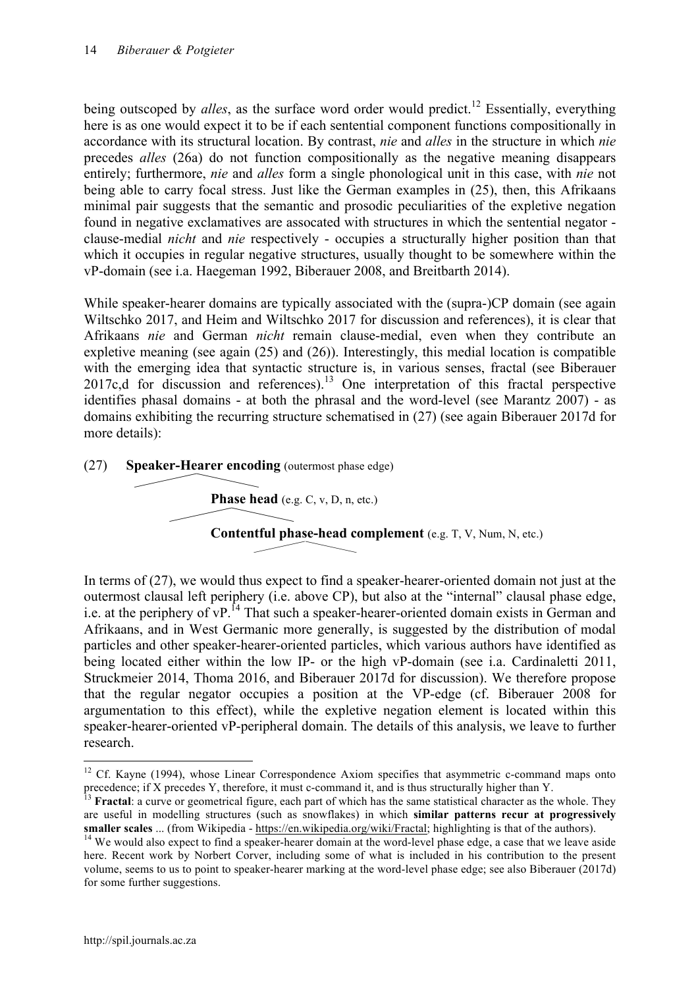being outscoped by *alles*, as the surface word order would predict.<sup>12</sup> Essentially, everything here is as one would expect it to be if each sentential component functions compositionally in accordance with its structural location. By contrast, *nie* and *alles* in the structure in which *nie*  precedes *alles* (26a) do not function compositionally as the negative meaning disappears entirely; furthermore, *nie* and *alles* form a single phonological unit in this case, with *nie* not being able to carry focal stress. Just like the German examples in (25), then, this Afrikaans minimal pair suggests that the semantic and prosodic peculiarities of the expletive negation found in negative exclamatives are assocated with structures in which the sentential negator clause-medial *nicht* and *nie* respectively - occupies a structurally higher position than that which it occupies in regular negative structures, usually thought to be somewhere within the vP-domain (see i.a. Haegeman 1992, Biberauer 2008, and Breitbarth 2014).

While speaker-hearer domains are typically associated with the (supra-)CP domain (see again Wiltschko 2017, and Heim and Wiltschko 2017 for discussion and references), it is clear that Afrikaans *nie* and German *nicht* remain clause-medial, even when they contribute an expletive meaning (see again (25) and (26)). Interestingly, this medial location is compatible with the emerging idea that syntactic structure is, in various senses, fractal (see Biberauer 2017c,d for discussion and references). <sup>13</sup> One interpretation of this fractal perspective identifies phasal domains - at both the phrasal and the word-level (see Marantz 2007) - as domains exhibiting the recurring structure schematised in (27) (see again Biberauer 2017d for more details):



In terms of (27), we would thus expect to find a speaker-hearer-oriented domain not just at the outermost clausal left periphery (i.e. above CP), but also at the "internal" clausal phase edge, i.e. at the periphery of vP.<sup>14</sup> That such a speaker-hearer-oriented domain exists in German and Afrikaans, and in West Germanic more generally, is suggested by the distribution of modal particles and other speaker-hearer-oriented particles, which various authors have identified as being located either within the low IP- or the high vP-domain (see i.a. Cardinaletti 2011, Struckmeier 2014, Thoma 2016, and Biberauer 2017d for discussion). We therefore propose that the regular negator occupies a position at the VP-edge (cf. Biberauer 2008 for argumentation to this effect), while the expletive negation element is located within this speaker-hearer-oriented vP-peripheral domain. The details of this analysis, we leave to further research.

<sup>&</sup>lt;sup>12</sup> Cf. Kavne (1994), whose Linear Correspondence Axiom specifies that asymmetric c-command maps onto precedence; if X precedes Y, therefore, it must c-command it, and is thus structurally higher than Y.<br><sup>13</sup> **Fractal**: a curve or geometrical figure, each part of which has the same statistical character as the whole. They

are useful in modelling structures (such as snowflakes) in which **similar patterns recur at progressively smaller scales** ... (from Wikipedia - https://en.wikipedia.org/wiki/Fractal; highlighting is that of the authors).

 $14$  We would also expect to find a speaker-hearer domain at the word-level phase edge, a case that we leave aside here. Recent work by Norbert Corver, including some of what is included in his contribution to the present volume, seems to us to point to speaker-hearer marking at the word-level phase edge; see also Biberauer (2017d) for some further suggestions.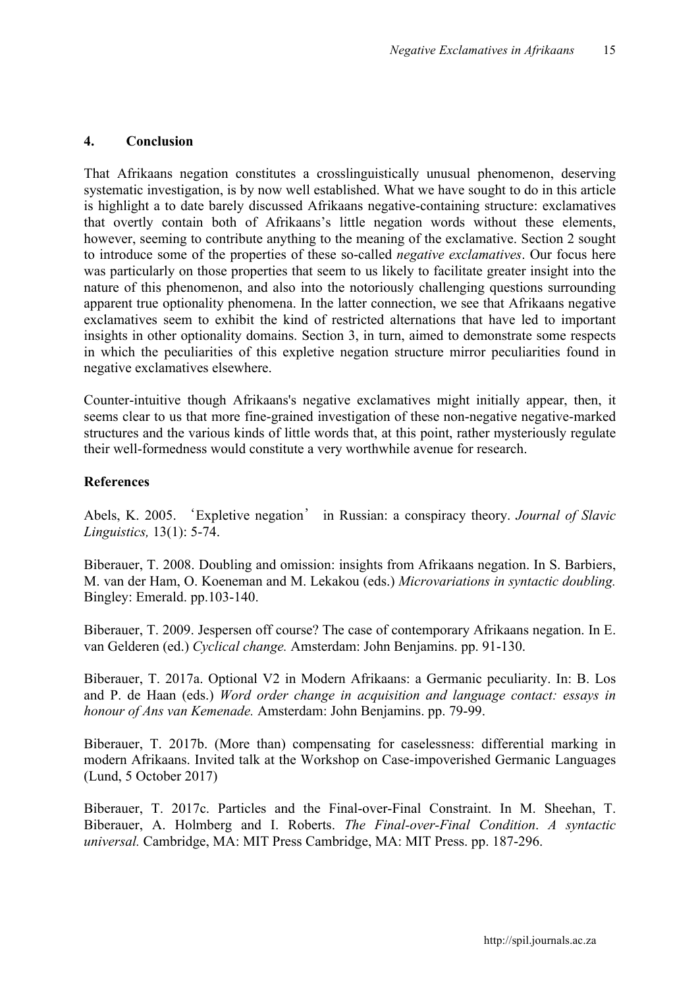### **4. Conclusion**

That Afrikaans negation constitutes a crosslinguistically unusual phenomenon, deserving systematic investigation, is by now well established. What we have sought to do in this article is highlight a to date barely discussed Afrikaans negative-containing structure: exclamatives that overtly contain both of Afrikaans's little negation words without these elements, however, seeming to contribute anything to the meaning of the exclamative. Section 2 sought to introduce some of the properties of these so-called *negative exclamatives*. Our focus here was particularly on those properties that seem to us likely to facilitate greater insight into the nature of this phenomenon, and also into the notoriously challenging questions surrounding apparent true optionality phenomena. In the latter connection, we see that Afrikaans negative exclamatives seem to exhibit the kind of restricted alternations that have led to important insights in other optionality domains. Section 3, in turn, aimed to demonstrate some respects in which the peculiarities of this expletive negation structure mirror peculiarities found in negative exclamatives elsewhere.

Counter-intuitive though Afrikaans's negative exclamatives might initially appear, then, it seems clear to us that more fine-grained investigation of these non-negative negative-marked structures and the various kinds of little words that, at this point, rather mysteriously regulate their well-formedness would constitute a very worthwhile avenue for research.

### **References**

Abels, K. 2005. 'Expletive negation' in Russian: a conspiracy theory. *Journal of Slavic Linguistics,* 13(1): 5-74.

Biberauer, T. 2008. Doubling and omission: insights from Afrikaans negation. In S. Barbiers, M. van der Ham, O. Koeneman and M. Lekakou (eds.) *Microvariations in syntactic doubling.*  Bingley: Emerald. pp.103-140.

Biberauer, T. 2009. Jespersen off course? The case of contemporary Afrikaans negation. In E. van Gelderen (ed.) *Cyclical change.* Amsterdam: John Benjamins. pp. 91-130.

Biberauer, T. 2017a. Optional V2 in Modern Afrikaans: a Germanic peculiarity. In: B. Los and P. de Haan (eds.) *Word order change in acquisition and language contact: essays in honour of Ans van Kemenade.* Amsterdam: John Benjamins. pp. 79-99.

Biberauer, T. 2017b. (More than) compensating for caselessness: differential marking in modern Afrikaans. Invited talk at the Workshop on Case-impoverished Germanic Languages (Lund, 5 October 2017)

Biberauer, T. 2017c. Particles and the Final-over-Final Constraint. In M. Sheehan, T. Biberauer, A. Holmberg and I. Roberts. *The Final-over-Final Condition*. *A syntactic universal.* Cambridge, MA: MIT Press Cambridge, MA: MIT Press. pp. 187-296.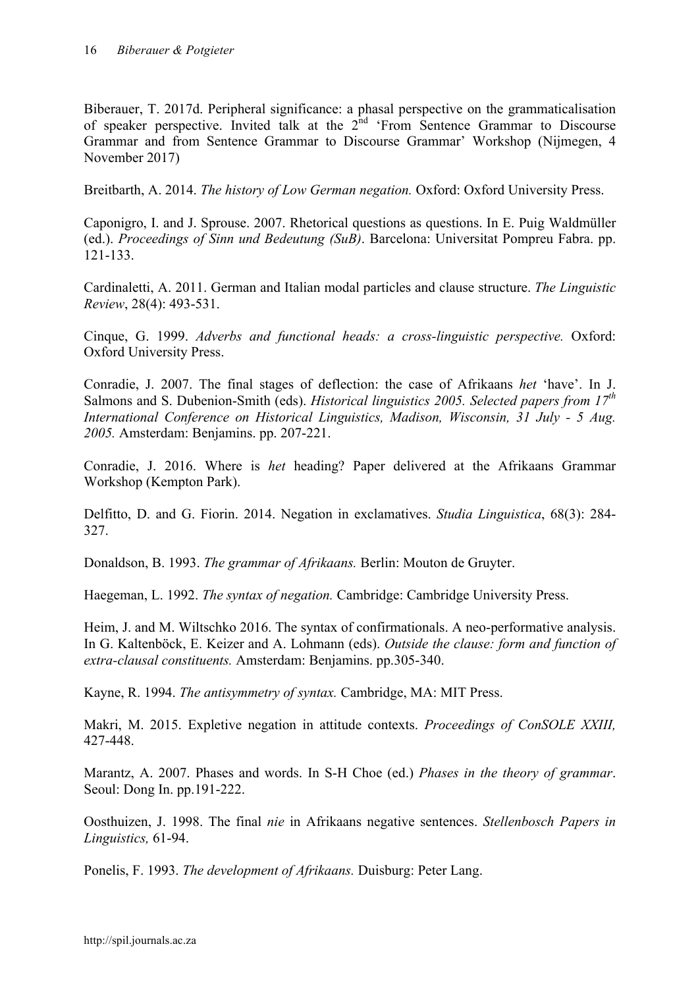Biberauer, T. 2017d. Peripheral significance: a phasal perspective on the grammaticalisation of speaker perspective. Invited talk at the  $2<sup>nd</sup>$  'From Sentence Grammar to Discourse Grammar and from Sentence Grammar to Discourse Grammar' Workshop (Nijmegen, 4 November 2017)

Breitbarth, A. 2014. *The history of Low German negation.* Oxford: Oxford University Press.

Caponigro, I. and J. Sprouse. 2007. Rhetorical questions as questions. In E. Puig Waldmüller (ed.). *Proceedings of Sinn und Bedeutung (SuB)*. Barcelona: Universitat Pompreu Fabra. pp. 121-133.

Cardinaletti, A. 2011. German and Italian modal particles and clause structure. *The Linguistic Review*, 28(4): 493-531.

Cinque, G. 1999. *Adverbs and functional heads: a cross-linguistic perspective.* Oxford: Oxford University Press.

Conradie, J. 2007. The final stages of deflection: the case of Afrikaans *het* 'have'. In J. Salmons and S. Dubenion-Smith (eds). *Historical linguistics 2005. Selected papers from 17th International Conference on Historical Linguistics, Madison, Wisconsin, 31 July - 5 Aug. 2005.* Amsterdam: Benjamins. pp. 207-221.

Conradie, J. 2016. Where is *het* heading? Paper delivered at the Afrikaans Grammar Workshop (Kempton Park).

Delfitto, D. and G. Fiorin. 2014. Negation in exclamatives. *Studia Linguistica*, 68(3): 284- 327.

Donaldson, B. 1993. *The grammar of Afrikaans.* Berlin: Mouton de Gruyter.

Haegeman, L. 1992. *The syntax of negation.* Cambridge: Cambridge University Press.

Heim, J. and M. Wiltschko 2016. The syntax of confirmationals. A neo-performative analysis. In G. Kaltenböck, E. Keizer and A. Lohmann (eds). *Outside the clause: form and function of extra-clausal constituents.* Amsterdam: Benjamins. pp.305-340.

Kayne, R. 1994. *The antisymmetry of syntax.* Cambridge, MA: MIT Press.

Makri, M. 2015. Expletive negation in attitude contexts. *Proceedings of ConSOLE XXIII,* 427-448.

Marantz, A. 2007. Phases and words. In S-H Choe (ed.) *Phases in the theory of grammar*. Seoul: Dong In. pp.191-222.

Oosthuizen, J. 1998. The final *nie* in Afrikaans negative sentences. *Stellenbosch Papers in Linguistics,* 61-94.

Ponelis, F. 1993. *The development of Afrikaans.* Duisburg: Peter Lang.